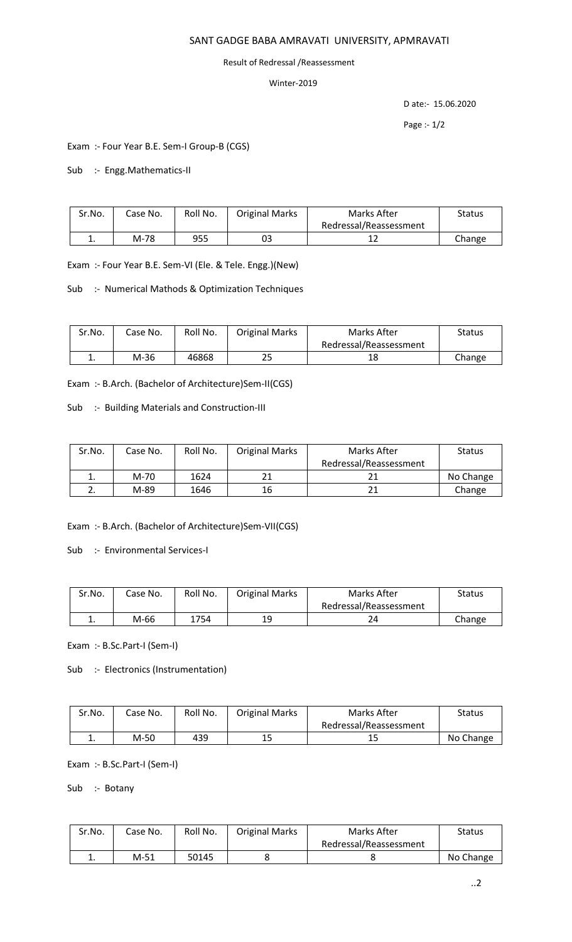## SANT GADGE BABA AMRAVATI UNIVERSITY, APMRAVATI

## Result of Redressal /Reassessment

## Winter-2019

D ate:- 15.06.2020

Page :- 1/2

Exam :- Four Year B.E. Sem-I Group-B (CGS)

Sub :- Engg.Mathematics-II

| Sr.No. | Case No. | Roll No. | <b>Original Marks</b> | Marks After            | Status |
|--------|----------|----------|-----------------------|------------------------|--------|
|        |          |          |                       | Redressal/Reassessment |        |
| . .    | M-78     | 955      | 03                    |                        | Change |

Exam :- Four Year B.E. Sem-VI (Ele. & Tele. Engg.)(New)

Sub :- Numerical Mathods & Optimization Techniques

| Sr.No. | Case No. | Roll No. | <b>Original Marks</b> | Marks After            | Status |
|--------|----------|----------|-----------------------|------------------------|--------|
|        |          |          |                       | Redressal/Reassessment |        |
| ᆠ.     | M-36     | 46868    | 25                    | 18                     | Change |

Exam :- B.Arch. (Bachelor of Architecture)Sem-II(CGS)

Sub :- Building Materials and Construction-III

| Sr.No. | Case No. | Roll No. | <b>Original Marks</b> | Marks After            | <b>Status</b> |
|--------|----------|----------|-----------------------|------------------------|---------------|
|        |          |          |                       | Redressal/Reassessment |               |
| ∸.     | M-70     | 1624     | 21                    |                        | No Change     |
|        | M-89     | 1646     | 16                    | 21                     | Change        |

Exam :- B.Arch. (Bachelor of Architecture)Sem-VII(CGS)

Sub :- Environmental Services-I

| Sr.No.   | Case No. | Roll No. | <b>Original Marks</b> | Marks After            | Status |
|----------|----------|----------|-----------------------|------------------------|--------|
|          |          |          |                       | Redressal/Reassessment |        |
| <b>.</b> | M-66     | 1754     | 19                    |                        | Change |

Exam :- B.Sc.Part-I (Sem-I)

Sub :- Electronics (Instrumentation)

| Sr.No. | Case No. | Roll No. | <b>Original Marks</b> | Marks After            | Status    |
|--------|----------|----------|-----------------------|------------------------|-----------|
|        |          |          |                       | Redressal/Reassessment |           |
|        | M-50     | 439      | 15                    | 15                     | No Change |

Exam :- B.Sc.Part-I (Sem-I)

Sub :- Botany

| Sr.No. | Case No. | Roll No. | <b>Original Marks</b> | Marks After            | <b>Status</b> |
|--------|----------|----------|-----------------------|------------------------|---------------|
|        |          |          |                       | Redressal/Reassessment |               |
| ᆠ.     | M-51     | 50145    |                       |                        | No Change     |